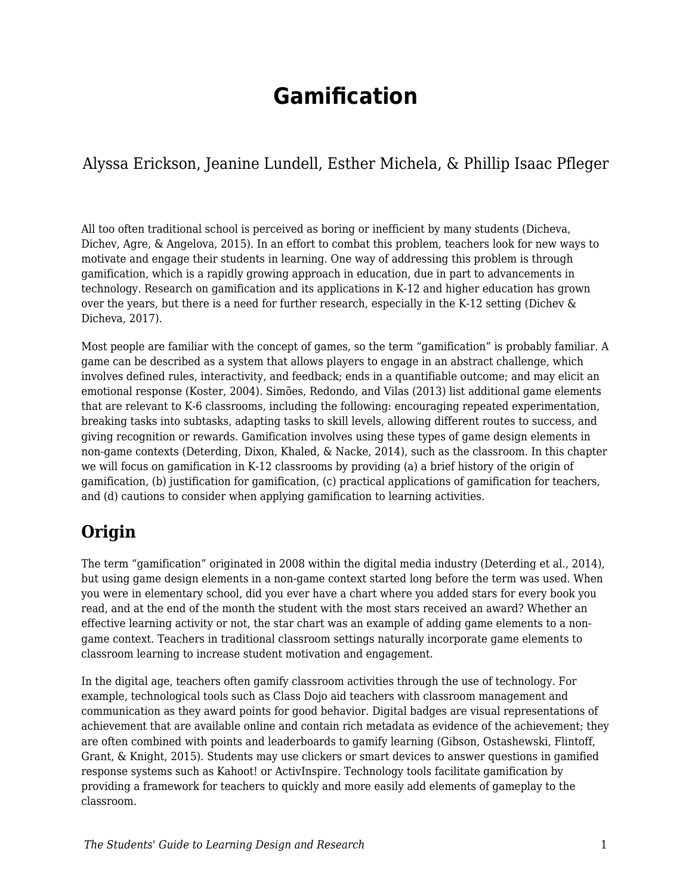# **Gamification**

Alyssa Erickson, Jeanine Lundell, Esther Michela, & Phillip Isaac Pfleger

All too often traditional school is perceived as boring or inefficient by many students (Dicheva, Dichev, Agre, & Angelova, 2015). In an effort to combat this problem, teachers look for new ways to motivate and engage their students in learning. One way of addressing this problem is through gamification, which is a rapidly growing approach in education, due in part to advancements in technology. Research on gamification and its applications in K-12 and higher education has grown over the years, but there is a need for further research, especially in the K-12 setting (Dichev  $\&$ Dicheva, 2017).

Most people are familiar with the concept of games, so the term "gamification" is probably familiar. A game can be described as a system that allows players to engage in an abstract challenge, which involves defined rules, interactivity, and feedback; ends in a quantifiable outcome; and may elicit an emotional response (Koster, 2004). Simões, Redondo, and Vilas (2013) list additional game elements that are relevant to K-6 classrooms, including the following: encouraging repeated experimentation, breaking tasks into subtasks, adapting tasks to skill levels, allowing different routes to success, and giving recognition or rewards. Gamification involves using these types of game design elements in non-game contexts (Deterding, Dixon, Khaled, & Nacke, 2014), such as the classroom. In this chapter we will focus on gamification in K-12 classrooms by providing (a) a brief history of the origin of gamification, (b) justification for gamification, (c) practical applications of gamification for teachers, and (d) cautions to consider when applying gamification to learning activities.

## **Origin**

The term "gamification" originated in 2008 within the digital media industry (Deterding et al., 2014), but using game design elements in a non-game context started long before the term was used. When you were in elementary school, did you ever have a chart where you added stars for every book you read, and at the end of the month the student with the most stars received an award? Whether an effective learning activity or not, the star chart was an example of adding game elements to a nongame context. Teachers in traditional classroom settings naturally incorporate game elements to classroom learning to increase student motivation and engagement.

In the digital age, teachers often gamify classroom activities through the use of technology. For example, technological tools such as Class Dojo aid teachers with classroom management and communication as they award points for good behavior. Digital badges are visual representations of achievement that are available online and contain rich metadata as evidence of the achievement; they are often combined with points and leaderboards to gamify learning (Gibson, Ostashewski, Flintoff, Grant, & Knight, 2015). Students may use clickers or smart devices to answer questions in gamified response systems such as Kahoot! or ActivInspire. Technology tools facilitate gamification by providing a framework for teachers to quickly and more easily add elements of gameplay to the classroom.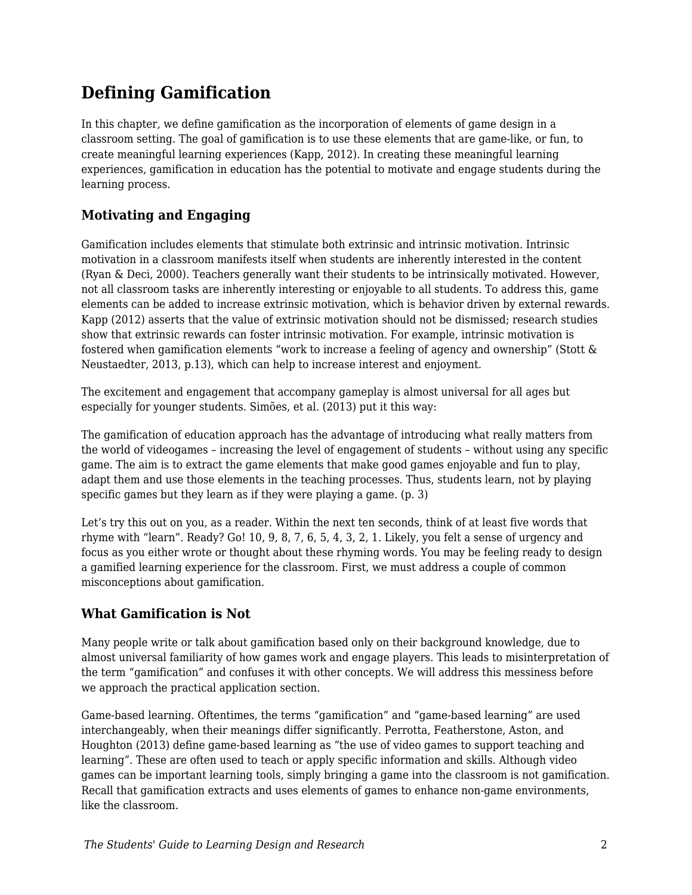### **Defining Gamification**

In this chapter, we define gamification as the incorporation of elements of game design in a classroom setting. The goal of gamification is to use these elements that are game-like, or fun, to create meaningful learning experiences (Kapp, 2012). In creating these meaningful learning experiences, gamification in education has the potential to motivate and engage students during the learning process.

### **Motivating and Engaging**

Gamification includes elements that stimulate both extrinsic and intrinsic motivation. Intrinsic motivation in a classroom manifests itself when students are inherently interested in the content (Ryan & Deci, 2000). Teachers generally want their students to be intrinsically motivated. However, not all classroom tasks are inherently interesting or enjoyable to all students. To address this, game elements can be added to increase extrinsic motivation, which is behavior driven by external rewards. Kapp (2012) asserts that the value of extrinsic motivation should not be dismissed; research studies show that extrinsic rewards can foster intrinsic motivation. For example, intrinsic motivation is fostered when gamification elements "work to increase a feeling of agency and ownership" (Stott & Neustaedter, 2013, p.13), which can help to increase interest and enjoyment.

The excitement and engagement that accompany gameplay is almost universal for all ages but especially for younger students. Simões, et al. (2013) put it this way:

The gamification of education approach has the advantage of introducing what really matters from the world of videogames – increasing the level of engagement of students – without using any specific game. The aim is to extract the game elements that make good games enjoyable and fun to play, adapt them and use those elements in the teaching processes. Thus, students learn, not by playing specific games but they learn as if they were playing a game. (p. 3)

Let's try this out on you, as a reader. Within the next ten seconds, think of at least five words that rhyme with "learn". Ready? Go! 10, 9, 8, 7, 6, 5, 4, 3, 2, 1. Likely, you felt a sense of urgency and focus as you either wrote or thought about these rhyming words. You may be feeling ready to design a gamified learning experience for the classroom. First, we must address a couple of common misconceptions about gamification.

#### **What Gamification is Not**

Many people write or talk about gamification based only on their background knowledge, due to almost universal familiarity of how games work and engage players. This leads to misinterpretation of the term "gamification" and confuses it with other concepts. We will address this messiness before we approach the practical application section.

Game-based learning. Oftentimes, the terms "gamification" and "game-based learning" are used interchangeably, when their meanings differ significantly. Perrotta, Featherstone, Aston, and Houghton (2013) define game-based learning as "the use of video games to support teaching and learning". These are often used to teach or apply specific information and skills. Although video games can be important learning tools, simply bringing a game into the classroom is not gamification. Recall that gamification extracts and uses elements of games to enhance non-game environments, like the classroom.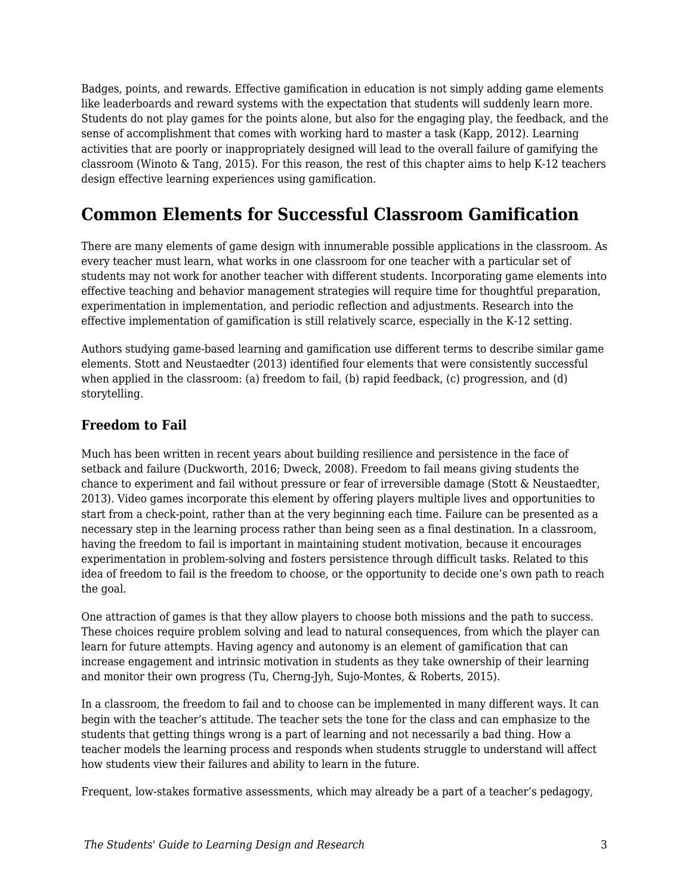Badges, points, and rewards. Effective gamification in education is not simply adding game elements like leaderboards and reward systems with the expectation that students will suddenly learn more. Students do not play games for the points alone, but also for the engaging play, the feedback, and the sense of accomplishment that comes with working hard to master a task (Kapp, 2012). Learning activities that are poorly or inappropriately designed will lead to the overall failure of gamifying the classroom (Winoto & Tang, 2015). For this reason, the rest of this chapter aims to help K-12 teachers design effective learning experiences using gamification.

### **Common Elements for Successful Classroom Gamification**

There are many elements of game design with innumerable possible applications in the classroom. As every teacher must learn, what works in one classroom for one teacher with a particular set of students may not work for another teacher with different students. Incorporating game elements into effective teaching and behavior management strategies will require time for thoughtful preparation, experimentation in implementation, and periodic reflection and adjustments. Research into the effective implementation of gamification is still relatively scarce, especially in the K-12 setting.

Authors studying game-based learning and gamification use different terms to describe similar game elements. Stott and Neustaedter (2013) identified four elements that were consistently successful when applied in the classroom: (a) freedom to fail, (b) rapid feedback, (c) progression, and (d) storytelling.

#### **Freedom to Fail**

Much has been written in recent years about building resilience and persistence in the face of setback and failure (Duckworth, 2016; Dweck, 2008). Freedom to fail means giving students the chance to experiment and fail without pressure or fear of irreversible damage (Stott & Neustaedter, 2013). Video games incorporate this element by offering players multiple lives and opportunities to start from a check-point, rather than at the very beginning each time. Failure can be presented as a necessary step in the learning process rather than being seen as a final destination. In a classroom, having the freedom to fail is important in maintaining student motivation, because it encourages experimentation in problem-solving and fosters persistence through difficult tasks. Related to this idea of freedom to fail is the freedom to choose, or the opportunity to decide one's own path to reach the goal.

One attraction of games is that they allow players to choose both missions and the path to success. These choices require problem solving and lead to natural consequences, from which the player can learn for future attempts. Having agency and autonomy is an element of gamification that can increase engagement and intrinsic motivation in students as they take ownership of their learning and monitor their own progress (Tu, Cherng-Jyh, Sujo-Montes, & Roberts, 2015).

In a classroom, the freedom to fail and to choose can be implemented in many different ways. It can begin with the teacher's attitude. The teacher sets the tone for the class and can emphasize to the students that getting things wrong is a part of learning and not necessarily a bad thing. How a teacher models the learning process and responds when students struggle to understand will affect how students view their failures and ability to learn in the future.

Frequent, low-stakes formative assessments, which may already be a part of a teacher's pedagogy,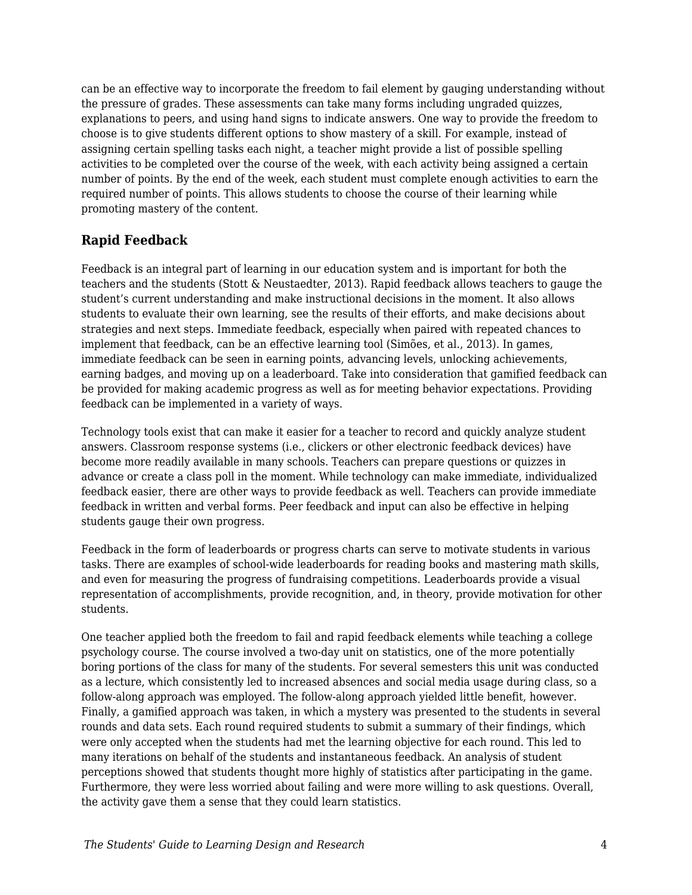can be an effective way to incorporate the freedom to fail element by gauging understanding without the pressure of grades. These assessments can take many forms including ungraded quizzes, explanations to peers, and using hand signs to indicate answers. One way to provide the freedom to choose is to give students different options to show mastery of a skill. For example, instead of assigning certain spelling tasks each night, a teacher might provide a list of possible spelling activities to be completed over the course of the week, with each activity being assigned a certain number of points. By the end of the week, each student must complete enough activities to earn the required number of points. This allows students to choose the course of their learning while promoting mastery of the content.

#### **Rapid Feedback**

Feedback is an integral part of learning in our education system and is important for both the teachers and the students (Stott & Neustaedter, 2013). Rapid feedback allows teachers to gauge the student's current understanding and make instructional decisions in the moment. It also allows students to evaluate their own learning, see the results of their efforts, and make decisions about strategies and next steps. Immediate feedback, especially when paired with repeated chances to implement that feedback, can be an effective learning tool (Simões, et al., 2013). In games, immediate feedback can be seen in earning points, advancing levels, unlocking achievements, earning badges, and moving up on a leaderboard. Take into consideration that gamified feedback can be provided for making academic progress as well as for meeting behavior expectations. Providing feedback can be implemented in a variety of ways.

Technology tools exist that can make it easier for a teacher to record and quickly analyze student answers. Classroom response systems (i.e., clickers or other electronic feedback devices) have become more readily available in many schools. Teachers can prepare questions or quizzes in advance or create a class poll in the moment. While technology can make immediate, individualized feedback easier, there are other ways to provide feedback as well. Teachers can provide immediate feedback in written and verbal forms. Peer feedback and input can also be effective in helping students gauge their own progress.

Feedback in the form of leaderboards or progress charts can serve to motivate students in various tasks. There are examples of school-wide leaderboards for reading books and mastering math skills, and even for measuring the progress of fundraising competitions. Leaderboards provide a visual representation of accomplishments, provide recognition, and, in theory, provide motivation for other students.

One teacher applied both the freedom to fail and rapid feedback elements while teaching a college psychology course. The course involved a two-day unit on statistics, one of the more potentially boring portions of the class for many of the students. For several semesters this unit was conducted as a lecture, which consistently led to increased absences and social media usage during class, so a follow-along approach was employed. The follow-along approach yielded little benefit, however. Finally, a gamified approach was taken, in which a mystery was presented to the students in several rounds and data sets. Each round required students to submit a summary of their findings, which were only accepted when the students had met the learning objective for each round. This led to many iterations on behalf of the students and instantaneous feedback. An analysis of student perceptions showed that students thought more highly of statistics after participating in the game. Furthermore, they were less worried about failing and were more willing to ask questions. Overall, the activity gave them a sense that they could learn statistics.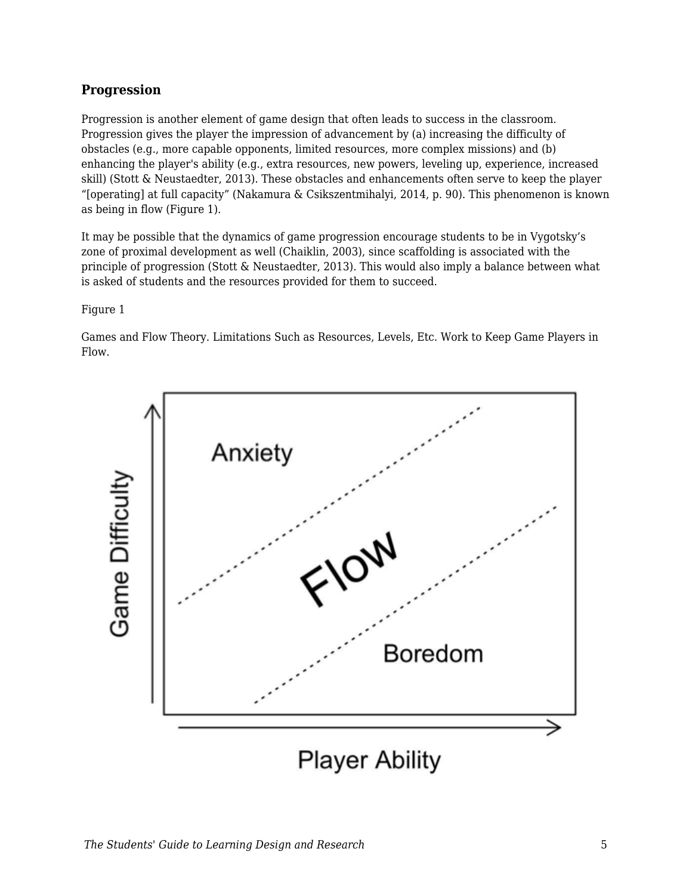#### **Progression**

Progression is another element of game design that often leads to success in the classroom. Progression gives the player the impression of advancement by (a) increasing the difficulty of obstacles (e.g., more capable opponents, limited resources, more complex missions) and (b) enhancing the player's ability (e.g., extra resources, new powers, leveling up, experience, increased skill) (Stott & Neustaedter, 2013). These obstacles and enhancements often serve to keep the player "[operating] at full capacity" (Nakamura & Csikszentmihalyi, 2014, p. 90). This phenomenon is known as being in flow (Figure 1).

It may be possible that the dynamics of game progression encourage students to be in Vygotsky's zone of proximal development as well (Chaiklin, 2003), since scaffolding is associated with the principle of progression (Stott & Neustaedter, 2013). This would also imply a balance between what is asked of students and the resources provided for them to succeed.

#### Figure 1

Games and Flow Theory. Limitations Such as Resources, Levels, Etc. Work to Keep Game Players in Flow.

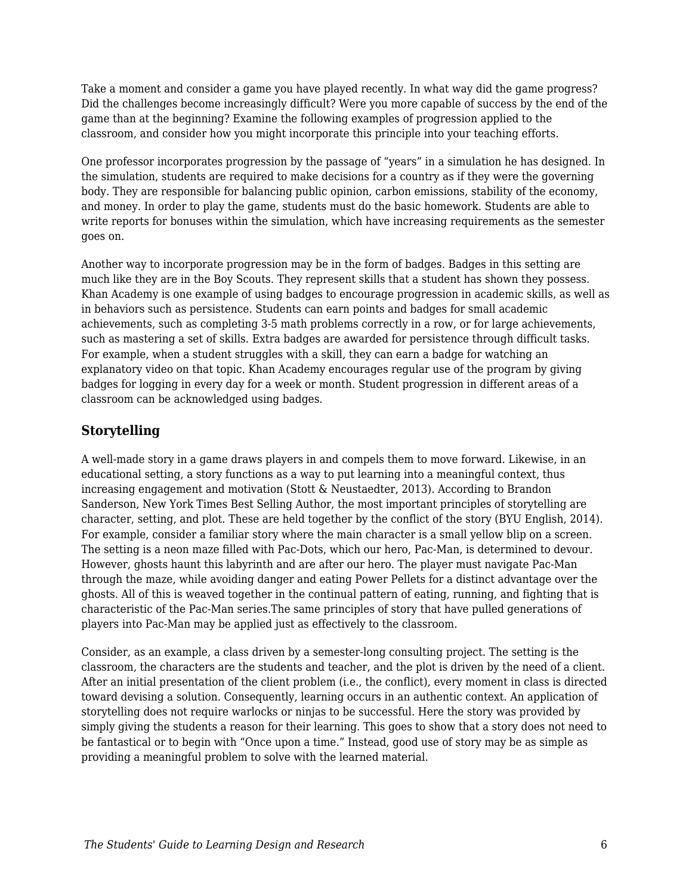Take a moment and consider a game you have played recently. In what way did the game progress? Did the challenges become increasingly difficult? Were you more capable of success by the end of the game than at the beginning? Examine the following examples of progression applied to the classroom, and consider how you might incorporate this principle into your teaching efforts.

One professor incorporates progression by the passage of "years" in a simulation he has designed. In the simulation, students are required to make decisions for a country as if they were the governing body. They are responsible for balancing public opinion, carbon emissions, stability of the economy, and money. In order to play the game, students must do the basic homework. Students are able to write reports for bonuses within the simulation, which have increasing requirements as the semester goes on.

Another way to incorporate progression may be in the form of badges. Badges in this setting are much like they are in the Boy Scouts. They represent skills that a student has shown they possess. Khan Academy is one example of using badges to encourage progression in academic skills, as well as in behaviors such as persistence. Students can earn points and badges for small academic achievements, such as completing 3-5 math problems correctly in a row, or for large achievements, such as mastering a set of skills. Extra badges are awarded for persistence through difficult tasks. For example, when a student struggles with a skill, they can earn a badge for watching an explanatory video on that topic. Khan Academy encourages regular use of the program by giving badges for logging in every day for a week or month. Student progression in different areas of a classroom can be acknowledged using badges.

#### **Storytelling**

A well-made story in a game draws players in and compels them to move forward. Likewise, in an educational setting, a story functions as a way to put learning into a meaningful context, thus increasing engagement and motivation (Stott & Neustaedter, 2013). According to Brandon Sanderson, New York Times Best Selling Author, the most important principles of storytelling are character, setting, and plot. These are held together by the conflict of the story (BYU English, 2014). For example, consider a familiar story where the main character is a small yellow blip on a screen. The setting is a neon maze filled with Pac-Dots, which our hero, Pac-Man, is determined to devour. However, ghosts haunt this labyrinth and are after our hero. The player must navigate Pac-Man through the maze, while avoiding danger and eating Power Pellets for a distinct advantage over the ghosts. All of this is weaved together in the continual pattern of eating, running, and fighting that is characteristic of the Pac-Man series.The same principles of story that have pulled generations of players into Pac-Man may be applied just as effectively to the classroom.

Consider, as an example, a class driven by a semester-long consulting project. The setting is the classroom, the characters are the students and teacher, and the plot is driven by the need of a client. After an initial presentation of the client problem (i.e., the conflict), every moment in class is directed toward devising a solution. Consequently, learning occurs in an authentic context. An application of storytelling does not require warlocks or ninjas to be successful. Here the story was provided by simply giving the students a reason for their learning. This goes to show that a story does not need to be fantastical or to begin with "Once upon a time." Instead, good use of story may be as simple as providing a meaningful problem to solve with the learned material.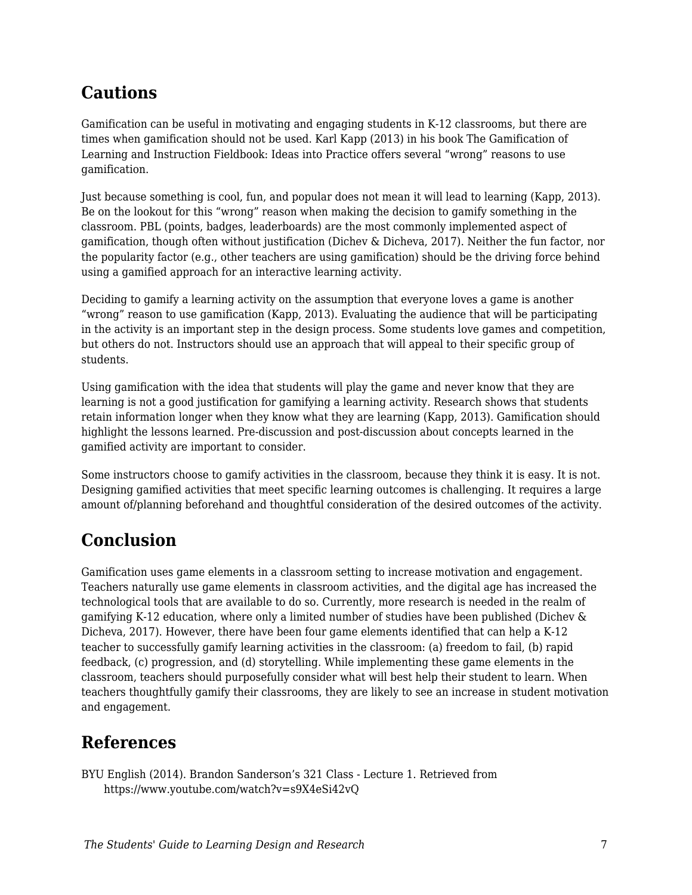### **Cautions**

Gamification can be useful in motivating and engaging students in K-12 classrooms, but there are times when gamification should not be used. Karl Kapp (2013) in his book The Gamification of Learning and Instruction Fieldbook: Ideas into Practice offers several "wrong" reasons to use gamification.

Just because something is cool, fun, and popular does not mean it will lead to learning (Kapp, 2013). Be on the lookout for this "wrong" reason when making the decision to gamify something in the classroom. PBL (points, badges, leaderboards) are the most commonly implemented aspect of gamification, though often without justification (Dichev & Dicheva, 2017). Neither the fun factor, nor the popularity factor (e.g., other teachers are using gamification) should be the driving force behind using a gamified approach for an interactive learning activity.

Deciding to gamify a learning activity on the assumption that everyone loves a game is another "wrong" reason to use gamification (Kapp, 2013). Evaluating the audience that will be participating in the activity is an important step in the design process. Some students love games and competition, but others do not. Instructors should use an approach that will appeal to their specific group of students.

Using gamification with the idea that students will play the game and never know that they are learning is not a good justification for gamifying a learning activity. Research shows that students retain information longer when they know what they are learning (Kapp, 2013). Gamification should highlight the lessons learned. Pre-discussion and post-discussion about concepts learned in the gamified activity are important to consider.

Some instructors choose to gamify activities in the classroom, because they think it is easy. It is not. Designing gamified activities that meet specific learning outcomes is challenging. It requires a large amount of/planning beforehand and thoughtful consideration of the desired outcomes of the activity.

## **Conclusion**

Gamification uses game elements in a classroom setting to increase motivation and engagement. Teachers naturally use game elements in classroom activities, and the digital age has increased the technological tools that are available to do so. Currently, more research is needed in the realm of gamifying K-12 education, where only a limited number of studies have been published (Dichev & Dicheva, 2017). However, there have been four game elements identified that can help a K-12 teacher to successfully gamify learning activities in the classroom: (a) freedom to fail, (b) rapid feedback, (c) progression, and (d) storytelling. While implementing these game elements in the classroom, teachers should purposefully consider what will best help their student to learn. When teachers thoughtfully gamify their classrooms, they are likely to see an increase in student motivation and engagement.

### **References**

BYU English (2014). Brandon Sanderson's 321 Class - Lecture 1. Retrieved from https://www.youtube.com/watch?v=s9X4eSi42vQ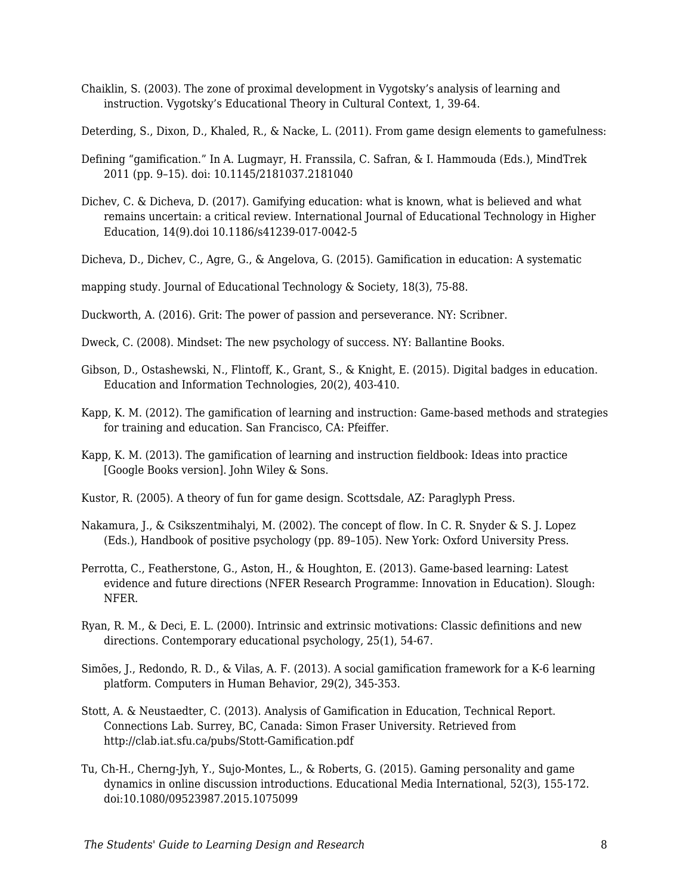Chaiklin, S. (2003). The zone of proximal development in Vygotsky's analysis of learning and instruction. Vygotsky's Educational Theory in Cultural Context, 1, 39-64.

Deterding, S., Dixon, D., Khaled, R., & Nacke, L. (2011). From game design elements to gamefulness:

- Defining "gamification." In A. Lugmayr, H. Franssila, C. Safran, & I. Hammouda (Eds.), MindTrek 2011 (pp. 9–15). doi: 10.1145/2181037.2181040
- Dichev, C. & Dicheva, D. (2017). Gamifying education: what is known, what is believed and what remains uncertain: a critical review. International Journal of Educational Technology in Higher Education, 14(9).doi 10.1186/s41239-017-0042-5

Dicheva, D., Dichev, C., Agre, G., & Angelova, G. (2015). Gamification in education: A systematic

mapping study. Journal of Educational Technology & Society, 18(3), 75-88.

Duckworth, A. (2016). Grit: The power of passion and perseverance. NY: Scribner.

- Dweck, C. (2008). Mindset: The new psychology of success. NY: Ballantine Books.
- Gibson, D., Ostashewski, N., Flintoff, K., Grant, S., & Knight, E. (2015). Digital badges in education. Education and Information Technologies, 20(2), 403-410.
- Kapp, K. M. (2012). The gamification of learning and instruction: Game-based methods and strategies for training and education. San Francisco, CA: Pfeiffer.
- Kapp, K. M. (2013). The gamification of learning and instruction fieldbook: Ideas into practice [Google Books version]. John Wiley & Sons.
- Kustor, R. (2005). A theory of fun for game design. Scottsdale, AZ: Paraglyph Press.
- Nakamura, J., & Csikszentmihalyi, M. (2002). The concept of flow. In C. R. Snyder & S. J. Lopez (Eds.), Handbook of positive psychology (pp. 89–105). New York: Oxford University Press.
- Perrotta, C., Featherstone, G., Aston, H., & Houghton, E. (2013). Game-based learning: Latest evidence and future directions (NFER Research Programme: Innovation in Education). Slough: NFER.
- Ryan, R. M., & Deci, E. L. (2000). Intrinsic and extrinsic motivations: Classic definitions and new directions. Contemporary educational psychology, 25(1), 54-67.
- Simões, J., Redondo, R. D., & Vilas, A. F. (2013). A social gamification framework for a K-6 learning platform. Computers in Human Behavior, 29(2), 345-353.
- Stott, A. & Neustaedter, C. (2013). Analysis of Gamification in Education, Technical Report. Connections Lab. Surrey, BC, Canada: Simon Fraser University. Retrieved from http://clab.iat.sfu.ca/pubs/Stott-Gamification.pdf
- Tu, Ch-H., Cherng-Jyh, Y., Sujo-Montes, L., & Roberts, G. (2015). Gaming personality and game dynamics in online discussion introductions. Educational Media International, 52(3), 155-172. doi:10.1080/09523987.2015.1075099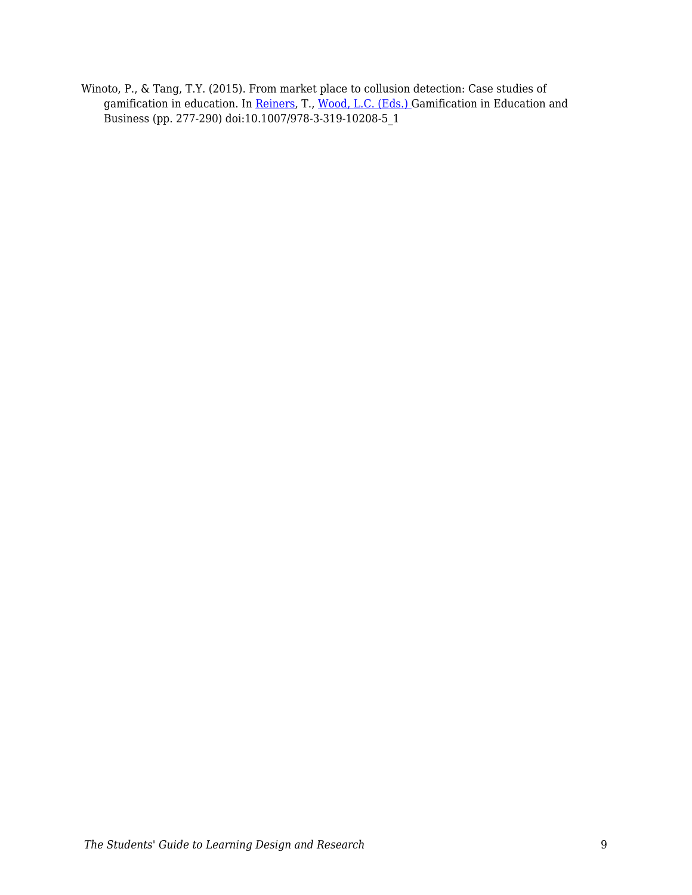Winoto, P., & Tang, T.Y. (2015). From market place to collusion detection: Case studies of gamification in education. In [Reiners](https://link-springer-com.erl.lib.byu.edu/search?facet-creator=%22Torsten+Reiners%22), T., [Wood, L.C. \(Eds.\)](https://link-springer-com.erl.lib.byu.edu/search?facet-creator=%22Lincoln+C.+Wood%22) Gamification in Education and Business (pp. 277-290) doi:10.1007/978-3-319-10208-5\_1